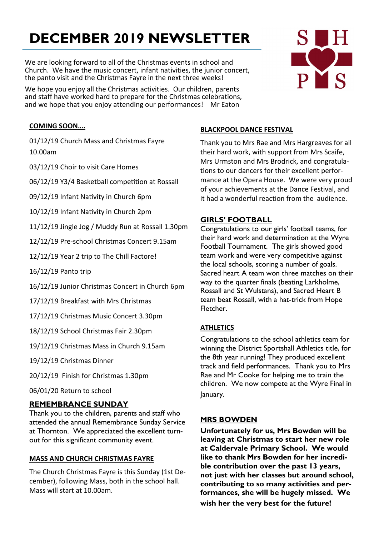# **DECEMBER 2019 NEWSLETTER**

We are looking forward to all of the Christmas events in school and Church. We have the music concert, infant nativities, the junior concert, the panto visit and the Christmas Fayre in the next three weeks!

We hope you enjoy all the Christmas activities. Our children, parents and staff have worked hard to prepare for the Christmas celebrations, and we hope that you enjoy attending our performances! Mr Eaton

# PYS

#### **COMING SOON….**

01/12/19 Church Mass and Christmas Fayre 10.00am

03/12/19 Choir to visit Care Homes

06/12/19 Y3/4 Basketball competition at Rossall

09/12/19 Infant Nativity in Church 6pm

10/12/19 Infant Nativity in Church 2pm

11/12/19 Jingle Jog / Muddy Run at Rossall 1.30pm

12/12/19 Pre-school Christmas Concert 9.15am

12/12/19 Year 2 trip to The Chill Factore!

16/12/19 Panto trip

16/12/19 Junior Christmas Concert in Church 6pm

17/12/19 Breakfast with Mrs Christmas

17/12/19 Christmas Music Concert 3.30pm

18/12/19 School Christmas Fair 2.30pm

19/12/19 Christmas Mass in Church 9.15am

19/12/19 Christmas Dinner

20/12/19 Finish for Christmas 1.30pm

06/01/20 Return to school

#### **REMEMBRANCE SUNDAY**

Thank you to the children, parents and staff who attended the annual Remembrance Sunday Service at Thornton. We appreciated the excellent turnout for this significant community event.

#### **MASS AND CHURCH CHRISTMAS FAYRE**

The Church Christmas Fayre is this Sunday (1st December), following Mass, both in the school hall. Mass will start at 10.00am.

#### **BLACKPOOL DANCE FESTIVAL**

Thank you to Mrs Rae and Mrs Hargreaves for all their hard work, with support from Mrs Scaife, Mrs Urmston and Mrs Brodrick, and congratulations to our dancers for their excellent performance at the Opera House. We were very proud of your achievements at the Dance Festival, and it had a wonderful reaction from the audience.

#### **GIRLS' FOOTBALL**

Congratulations to our girls' football teams, for their hard work and determination at the Wyre Football Tournament. The girls showed good team work and were very competitive against the local schools, scoring a number of goals. Sacred heart A team won three matches on their way to the quarter finals (beating Larkholme, Rossall and St Wulstans), and Sacred Heart B team beat Rossall, with a hat-trick from Hope Fletcher.

#### **ATHLETICS**

Congratulations to the school athletics team for winning the District Sportshall Athletics title, for the 8th year running! They produced excellent track and field performances. Thank you to Mrs Rae and Mr Cooke for helping me to train the children. We now compete at the Wyre Final in January.

#### **MRS BOWDEN**

**Unfortunately for us, Mrs Bowden will be leaving at Christmas to start her new role at Caldervale Primary School. We would like to thank Mrs Bowden for her incredible contribution over the past 13 years, not just with her classes but around school, contributing to so many activities and performances, she will be hugely missed. We wish her the very best for the future!**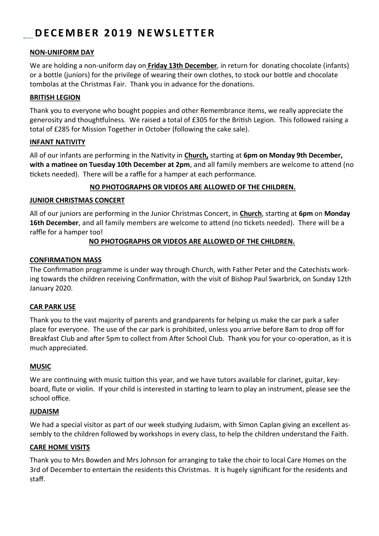### **D E C E M B E R 2 0 1 9 N E W S L E T T E R**

#### **NON-UNIFORM DAY**

We are holding a non-uniform day on **Friday 13th December**, in return for donating chocolate (infants) or a bottle (juniors) for the privilege of wearing their own clothes, to stock our bottle and chocolate tombolas at the Christmas Fair. Thank you in advance for the donations.

#### **BRITISH LEGION**

Thank you to everyone who bought poppies and other Remembrance items, we really appreciate the generosity and thoughtfulness. We raised a total of £305 for the British Legion. This followed raising a total of £285 for Mission Together in October (following the cake sale).

#### **INFANT NATIVITY**

All of our infants are performing in the Nativity in **Church,** starting at **6pm on Monday 9th December, with a matinee on Tuesday 10th December at 2pm**, and all family members are welcome to attend (no tickets needed). There will be a raffle for a hamper at each performance.

#### **NO PHOTOGRAPHS OR VIDEOS ARE ALLOWED OF THE CHILDREN.**

#### **JUNIOR CHRISTMAS CONCERT**

All of our juniors are performing in the Junior Christmas Concert, in **Church**, starting at **6pm** on **Monday 16th December**, and all family members are welcome to attend (no tickets needed). There will be a raffle for a hamper too!

#### **NO PHOTOGRAPHS OR VIDEOS ARE ALLOWED OF THE CHILDREN.**

#### **CONFIRMATION MASS**

The Confirmation programme is under way through Church, with Father Peter and the Catechists working towards the children receiving Confirmation, with the visit of Bishop Paul Swarbrick, on Sunday 12th January 2020.

#### **CAR PARK USE**

Thank you to the vast majority of parents and grandparents for helping us make the car park a safer place for everyone. The use of the car park is prohibited, unless you arrive before 8am to drop off for Breakfast Club and after 5pm to collect from After School Club. Thank you for your co-operation, as it is much appreciated.

#### **MUSIC**

We are continuing with music tuition this year, and we have tutors available for clarinet, guitar, keyboard, flute or violin. If your child is interested in starting to learn to play an instrument, please see the school office.

#### **JUDAISM**

We had a special visitor as part of our week studying Judaism, with Simon Caplan giving an excellent assembly to the children followed by workshops in every class, to help the children understand the Faith.

#### **CARE HOME VISITS**

Thank you to Mrs Bowden and Mrs Johnson for arranging to take the choir to local Care Homes on the 3rd of December to entertain the residents this Christmas. It is hugely significant for the residents and staff.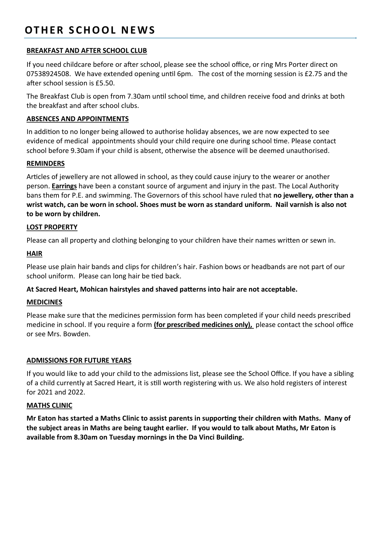## **OTHER SCHOOL NEWS**

#### **BREAKFAST AND AFTER SCHOOL CLUB**

If you need childcare before or after school, please see the school office, or ring Mrs Porter direct on 07538924508. We have extended opening until 6pm. The cost of the morning session is £2.75 and the after school session is £5.50.

The Breakfast Club is open from 7.30am until school time, and children receive food and drinks at both the breakfast and after school clubs.

#### **ABSENCES AND APPOINTMENTS**

In addition to no longer being allowed to authorise holiday absences, we are now expected to see evidence of medical appointments should your child require one during school time. Please contact school before 9.30am if your child is absent, otherwise the absence will be deemed unauthorised.

#### **REMINDERS**

Articles of jewellery are not allowed in school, as they could cause injury to the wearer or another person. **Earrings** have been a constant source of argument and injury in the past. The Local Authority bans them for P.E. and swimming. The Governors of this school have ruled that **no jewellery, other than a wrist watch, can be worn in school. Shoes must be worn as standard uniform. Nail varnish is also not to be worn by children.**

#### **LOST PROPERTY**

Please can all property and clothing belonging to your children have their names written or sewn in.

#### **HAIR**

Please use plain hair bands and clips for children's hair. Fashion bows or headbands are not part of our school uniform. Please can long hair be tied back.

#### **At Sacred Heart, Mohican hairstyles and shaved patterns into hair are not acceptable.**

#### **MEDICINES**

Please make sure that the medicines permission form has been completed if your child needs prescribed medicine in school. If you require a form **(for prescribed medicines only),** please contact the school office or see Mrs. Bowden.

#### **ADMISSIONS FOR FUTURE YEARS**

If you would like to add your child to the admissions list, please see the School Office. If you have a sibling of a child currently at Sacred Heart, it is still worth registering with us. We also hold registers of interest for 2021 and 2022.

#### **MATHS CLINIC**

**Mr Eaton has started a Maths Clinic to assist parents in supporting their children with Maths. Many of the subject areas in Maths are being taught earlier. If you would to talk about Maths, Mr Eaton is available from 8.30am on Tuesday mornings in the Da Vinci Building.**